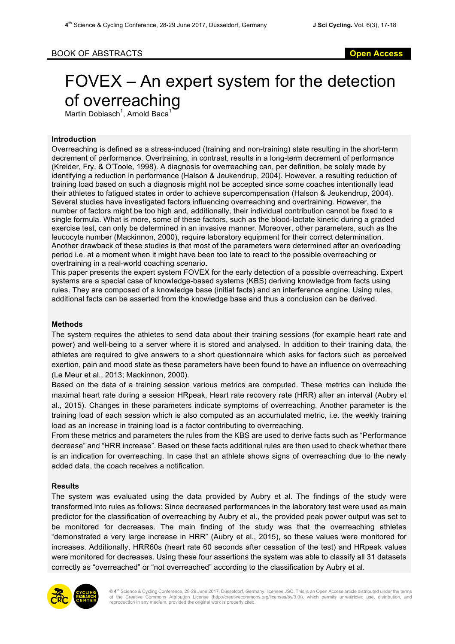# BOOK OF ABSTRACTS **Open Access**

# FOVEX – An expert system for the detection of overreaching

Martin Dobiasch<sup>1</sup>, Arnold Baca<sup>1</sup>

# **Introduction**

Overreaching is defined as a stress-induced (training and non-training) state resulting in the short-term decrement of performance. Overtraining, in contrast, results in a long-term decrement of performance (Kreider, Fry, & O'Toole, 1998). A diagnosis for overreaching can, per definition, be solely made by identifying a reduction in performance (Halson & Jeukendrup, 2004). However, a resulting reduction of training load based on such a diagnosis might not be accepted since some coaches intentionally lead their athletes to fatigued states in order to achieve supercompensation (Halson & Jeukendrup, 2004). Several studies have investigated factors influencing overreaching and overtraining. However, the number of factors might be too high and, additionally, their individual contribution cannot be fixed to a single formula. What is more, some of these factors, such as the blood-lactate kinetic during a graded exercise test, can only be determined in an invasive manner. Moreover, other parameters, such as the leucocyte number (Mackinnon, 2000), require laboratory equipment for their correct determination. Another drawback of these studies is that most of the parameters were determined after an overloading period i.e. at a moment when it might have been too late to react to the possible overreaching or overtraining in a real-world coaching scenario.

This paper presents the expert system FOVEX for the early detection of a possible overreaching. Expert systems are a special case of knowledge-based systems (KBS) deriving knowledge from facts using rules. They are composed of a knowledge base (initial facts) and an interference engine. Using rules, additional facts can be asserted from the knowledge base and thus a conclusion can be derived.

# **Methods**

The system requires the athletes to send data about their training sessions (for example heart rate and power) and well-being to a server where it is stored and analysed. In addition to their training data, the athletes are required to give answers to a short questionnaire which asks for factors such as perceived exertion, pain and mood state as these parameters have been found to have an influence on overreaching (Le Meur et al., 2013; Mackinnon, 2000).

Based on the data of a training session various metrics are computed. These metrics can include the maximal heart rate during a session HRpeak, Heart rate recovery rate (HRR) after an interval (Aubry et al., 2015). Changes in these parameters indicate symptoms of overreaching. Another parameter is the training load of each session which is also computed as an accumulated metric, i.e. the weekly training load as an increase in training load is a factor contributing to overreaching.

From these metrics and parameters the rules from the KBS are used to derive facts such as "Performance decrease" and "HRR increase". Based on these facts additional rules are then used to check whether there is an indication for overreaching. In case that an athlete shows signs of overreaching due to the newly added data, the coach receives a notification.

#### **Results**

The system was evaluated using the data provided by Aubry et al. The findings of the study were transformed into rules as follows: Since decreased performances in the laboratory test were used as main predictor for the classification of overreaching by Aubry et al., the provided peak power output was set to be monitored for decreases. The main finding of the study was that the overreaching athletes "demonstrated a very large increase in HRR" (Aubry et al., 2015), so these values were monitored for increases. Additionally, HRR60s (heart rate 60 seconds after cessation of the test) and HRpeak values were monitored for decreases. Using these four assertions the system was able to classify all 31 datasets correctly as "overreached" or "not overreached" according to the classification by Aubry et al.